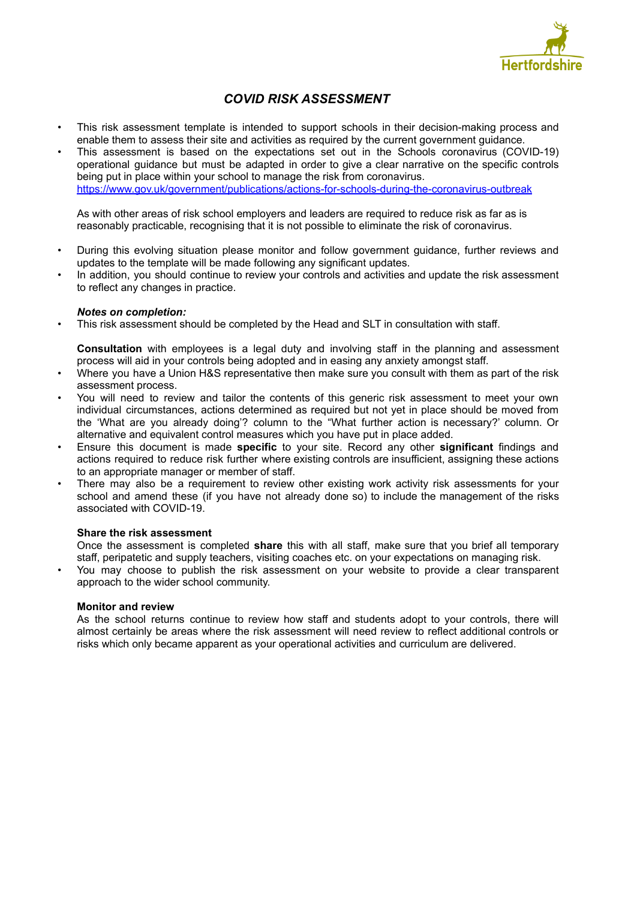

# *COVID RISK ASSESSMENT*

- This risk assessment template is intended to support schools in their decision-making process and enable them to assess their site and activities as required by the current government guidance.
- This assessment is based on the expectations set out in the Schools coronavirus (COVID-19) operational guidance but must be adapted in order to give a clear narrative on the specific controls being put in place within your school to manage the risk from coronavirus. <https://www.gov.uk/government/publications/actions-for-schools-during-the-coronavirus-outbreak>

As with other areas of risk school employers and leaders are required to reduce risk as far as is reasonably practicable, recognising that it is not possible to eliminate the risk of coronavirus.

- During this evolving situation please monitor and follow government guidance, further reviews and updates to the template will be made following any significant updates.
- In addition, you should continue to review your controls and activities and update the risk assessment to reflect any changes in practice.

### *Notes on completion:*

• This risk assessment should be completed by the Head and SLT in consultation with staff.

**Consultation** with employees is a legal duty and involving staff in the planning and assessment process will aid in your controls being adopted and in easing any anxiety amongst staff.

- Where you have a Union H&S representative then make sure you consult with them as part of the risk assessment process.
- You will need to review and tailor the contents of this generic risk assessment to meet your own individual circumstances, actions determined as required but not yet in place should be moved from the 'What are you already doing'? column to the "What further action is necessary?' column. Or alternative and equivalent control measures which you have put in place added.
- Ensure this document is made **specific** to your site. Record any other **significant** findings and actions required to reduce risk further where existing controls are insufficient, assigning these actions to an appropriate manager or member of staff.
- There may also be a requirement to review other existing work activity risk assessments for your school and amend these (if you have not already done so) to include the management of the risks associated with COVID-19.

### **Share the risk assessment**

Once the assessment is completed **share** this with all staff, make sure that you brief all temporary staff, peripatetic and supply teachers, visiting coaches etc. on your expectations on managing risk.

• You may choose to publish the risk assessment on your website to provide a clear transparent approach to the wider school community.

### **Monitor and review**

As the school returns continue to review how staff and students adopt to your controls, there will almost certainly be areas where the risk assessment will need review to reflect additional controls or risks which only became apparent as your operational activities and curriculum are delivered.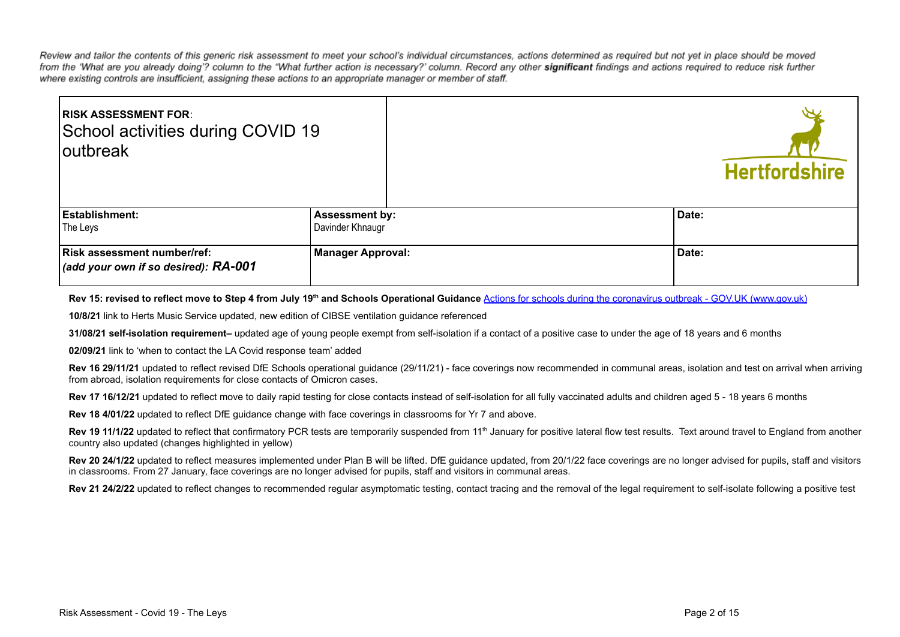Review and tailor the contents of this generic risk assessment to meet your school's individual circumstances, actions determined as required but not yet in place should be moved from the 'What are you already doing'? column to the "What further action is necessary?' column. Record any other significant findings and actions required to reduce risk further where existing controls are insufficient, assigning these actions to an appropriate manager or member of staff.

| <b>IRISK ASSESSMENT FOR:</b><br>School activities during COVID 19<br>loutbreak |                          | <b>Hertfordshire</b> |
|--------------------------------------------------------------------------------|--------------------------|----------------------|
| <b>Establishment:</b>                                                          | <b>Assessment by:</b>    | Date:                |
| The Leys                                                                       | Davinder Khnaugr         |                      |
| Risk assessment number/ref:<br>(add your own if so desired): RA-001            | <b>Manager Approval:</b> | Date:                |

**Rev 15: revised to reflect move to Step 4 from July 19th and Schools Operational Guidance** Actions for [schools during the coronavirus outbreak - GOV.UK \(www.gov.uk\)](https://www.gov.uk/government/publications/actions-for-schools-during-the-coronavirus-outbreak)

**10/8/21** link to Herts Music Service updated, new edition of CIBSE ventilation guidance referenced

**31/08/21 self-isolation requirement–** updated age of young people exempt from self-isolation if a contact of a positive case to under the age of 18 years and 6 months

**02/09/21** link to 'when to contact the LA Covid response team' added

Rev 16 29/11/21 updated to reflect revised DfE Schools operational quidance (29/11/21) - face coverings now recommended in communal areas, isolation and test on arrival when arriving from abroad, isolation requirements for close contacts of Omicron cases.

Rev 17 16/12/21 updated to reflect move to daily rapid testing for close contacts instead of self-isolation for all fully vaccinated adults and children aged 5 - 18 years 6 months

**Rev 18 4/01/22** updated to reflect DfE guidance change with face coverings in classrooms for Yr 7 and above.

Rev 19 11/1/22 updated to reflect that confirmatory PCR tests are temporarily suspended from 11<sup>th</sup> January for positive lateral flow test results. Text around travel to England from another country also updated (changes highlighted in yellow)

Rev 20 24/1/22 updated to reflect measures implemented under Plan B will be lifted. DfE guidance updated, from 20/1/22 face coverings are no longer advised for pupils, staff and visitors in classrooms. From 27 January, face coverings are no longer advised for pupils, staff and visitors in communal areas.

Rev 21 24/2/22 updated to reflect changes to recommended regular asymptomatic testing, contact tracing and the removal of the legal requirement to self-isolate following a positive test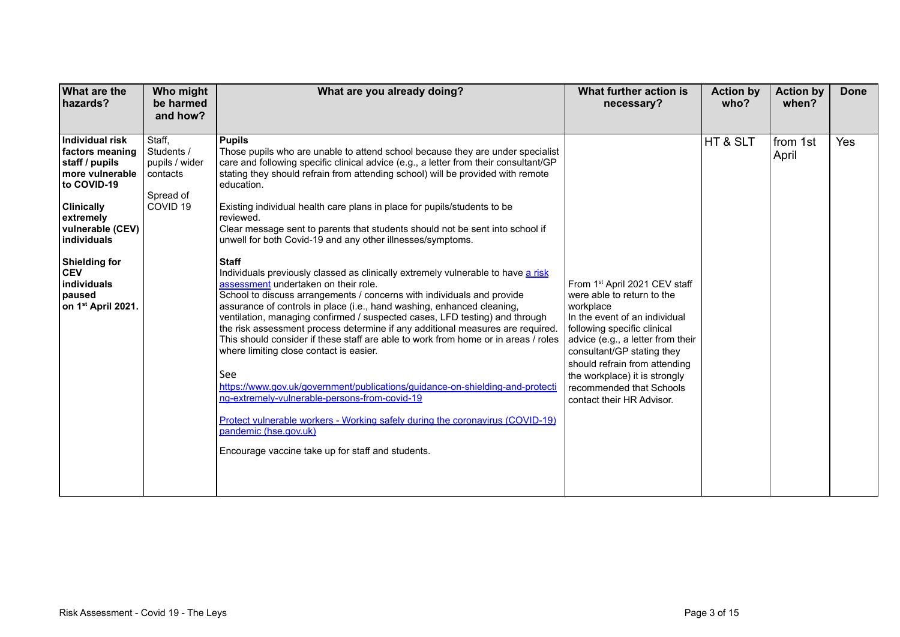| <b>What are the</b><br>hazards?                                                                                                                                                                                                                              | Who might<br>be harmed<br>and how?                                                     | What are you already doing?                                                                                                                                                                                                                                                                                                                                                                                                                                                                                                                                                                                                                                                                                                                                                                                                                                                                                                                                                                                                                                                                                                                                                                                                                                                                                                                                                                                                                | What further action is<br>necessary?                                                                                                                                                                                                                                                                                                   | <b>Action by</b><br>who? | <b>Action by</b><br>when? | <b>Done</b> |
|--------------------------------------------------------------------------------------------------------------------------------------------------------------------------------------------------------------------------------------------------------------|----------------------------------------------------------------------------------------|--------------------------------------------------------------------------------------------------------------------------------------------------------------------------------------------------------------------------------------------------------------------------------------------------------------------------------------------------------------------------------------------------------------------------------------------------------------------------------------------------------------------------------------------------------------------------------------------------------------------------------------------------------------------------------------------------------------------------------------------------------------------------------------------------------------------------------------------------------------------------------------------------------------------------------------------------------------------------------------------------------------------------------------------------------------------------------------------------------------------------------------------------------------------------------------------------------------------------------------------------------------------------------------------------------------------------------------------------------------------------------------------------------------------------------------------|----------------------------------------------------------------------------------------------------------------------------------------------------------------------------------------------------------------------------------------------------------------------------------------------------------------------------------------|--------------------------|---------------------------|-------------|
| Individual risk<br>factors meaning<br>staff / pupils<br>more vulnerable<br>to COVID-19<br><b>Clinically</b><br>extremely<br>vulnerable (CEV)<br>individuals<br><b>Shielding for</b><br><b>CEV</b><br>individuals<br>paused<br>on 1 <sup>st</sup> April 2021. | Staff,<br>Students /<br>pupils / wider<br>contacts<br>Spread of<br>COVID <sub>19</sub> | <b>Pupils</b><br>Those pupils who are unable to attend school because they are under specialist<br>care and following specific clinical advice (e.g., a letter from their consultant/GP<br>stating they should refrain from attending school) will be provided with remote<br>education.<br>Existing individual health care plans in place for pupils/students to be<br>reviewed.<br>Clear message sent to parents that students should not be sent into school if<br>unwell for both Covid-19 and any other illnesses/symptoms.<br><b>Staff</b><br>Individuals previously classed as clinically extremely vulnerable to have a risk<br>assessment undertaken on their role.<br>School to discuss arrangements / concerns with individuals and provide<br>assurance of controls in place (i.e., hand washing, enhanced cleaning,<br>ventilation, managing confirmed / suspected cases, LFD testing) and through<br>the risk assessment process determine if any additional measures are required.<br>This should consider if these staff are able to work from home or in areas / roles<br>where limiting close contact is easier.<br>See<br>https://www.gov.uk/government/publications/guidance-on-shielding-and-protecti<br>ng-extremely-vulnerable-persons-from-covid-19<br>Protect vulnerable workers - Working safely during the coronavirus (COVID-19)<br>pandemic (hse.gov.uk)<br>Encourage vaccine take up for staff and students. | From 1st April 2021 CEV staff<br>were able to return to the<br>workplace<br>In the event of an individual<br>following specific clinical<br>advice (e.g., a letter from their<br>consultant/GP stating they<br>should refrain from attending<br>the workplace) it is strongly<br>recommended that Schools<br>contact their HR Advisor. | HT & SLT                 | from 1st<br>April         | Yes         |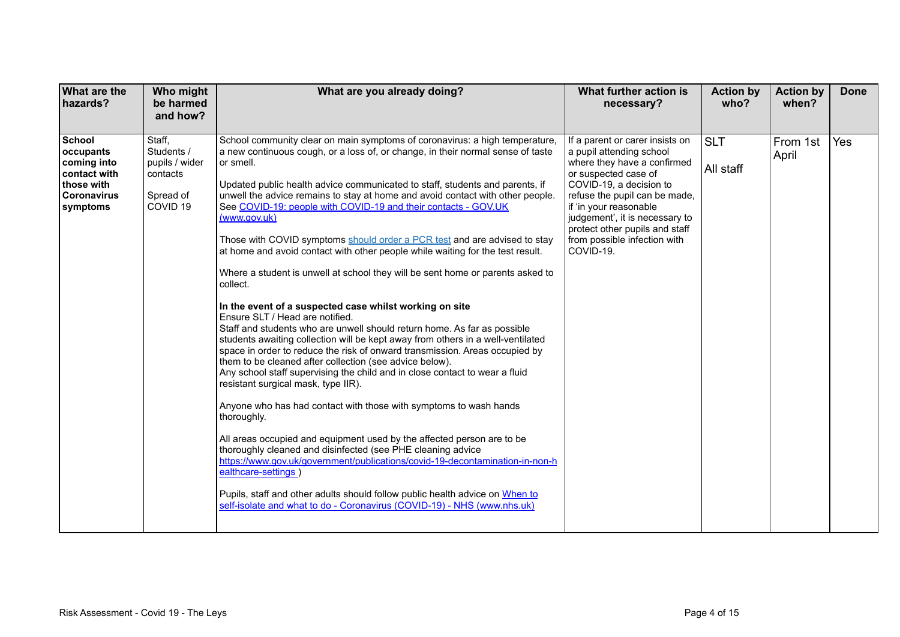| <b>What are the</b><br>hazards?                                                                    | Who might<br>be harmed<br>and how?                                                     | What are you already doing?                                                                                                                                                                                                                                                                                                                                                                                                                                                                                                                                                                                                                                                                                                                                                                                                                                                                                                                                                                                                                                                                                                                                                                                                                                                                                                                                                                                                                                                                                                                                                                                                                                                                                              | What further action is<br>necessary?                                                                                                                                                                                                                                                                                      | <b>Action by</b><br>who? | <b>Action by</b><br>when? | <b>Done</b> |
|----------------------------------------------------------------------------------------------------|----------------------------------------------------------------------------------------|--------------------------------------------------------------------------------------------------------------------------------------------------------------------------------------------------------------------------------------------------------------------------------------------------------------------------------------------------------------------------------------------------------------------------------------------------------------------------------------------------------------------------------------------------------------------------------------------------------------------------------------------------------------------------------------------------------------------------------------------------------------------------------------------------------------------------------------------------------------------------------------------------------------------------------------------------------------------------------------------------------------------------------------------------------------------------------------------------------------------------------------------------------------------------------------------------------------------------------------------------------------------------------------------------------------------------------------------------------------------------------------------------------------------------------------------------------------------------------------------------------------------------------------------------------------------------------------------------------------------------------------------------------------------------------------------------------------------------|---------------------------------------------------------------------------------------------------------------------------------------------------------------------------------------------------------------------------------------------------------------------------------------------------------------------------|--------------------------|---------------------------|-------------|
| School<br>occupants<br>coming into<br>contact with<br>those with<br><b>Coronavirus</b><br>symptoms | Staff,<br>Students /<br>pupils / wider<br>contacts<br>Spread of<br>COVID <sub>19</sub> | School community clear on main symptoms of coronavirus: a high temperature,<br>a new continuous cough, or a loss of, or change, in their normal sense of taste<br>or smell.<br>Updated public health advice communicated to staff, students and parents, if<br>unwell the advice remains to stay at home and avoid contact with other people.<br>See COVID-19: people with COVID-19 and their contacts - GOV.UK<br>(www.aov.uk)<br>Those with COVID symptoms should order a PCR test and are advised to stay<br>at home and avoid contact with other people while waiting for the test result.<br>Where a student is unwell at school they will be sent home or parents asked to<br>collect.<br>In the event of a suspected case whilst working on site<br>Ensure SLT / Head are notified.<br>Staff and students who are unwell should return home. As far as possible<br>students awaiting collection will be kept away from others in a well-ventilated<br>space in order to reduce the risk of onward transmission. Areas occupied by<br>them to be cleaned after collection (see advice below).<br>Any school staff supervising the child and in close contact to wear a fluid<br>resistant surgical mask, type IIR).<br>Anyone who has had contact with those with symptoms to wash hands<br>thoroughly.<br>All areas occupied and equipment used by the affected person are to be<br>thoroughly cleaned and disinfected (see PHE cleaning advice<br>https://www.gov.uk/government/publications/covid-19-decontamination-in-non-h<br>ealthcare-settings)<br>Pupils, staff and other adults should follow public health advice on When to<br>self-isolate and what to do - Coronavirus (COVID-19) - NHS (www.nhs.uk) | If a parent or carer insists on<br>a pupil attending school<br>where they have a confirmed<br>or suspected case of<br>COVID-19, a decision to<br>refuse the pupil can be made,<br>if 'in your reasonable<br>judgement', it is necessary to<br>protect other pupils and staff<br>from possible infection with<br>COVID-19. | <b>SLT</b><br>All staff  | From 1st<br>April         | Yes         |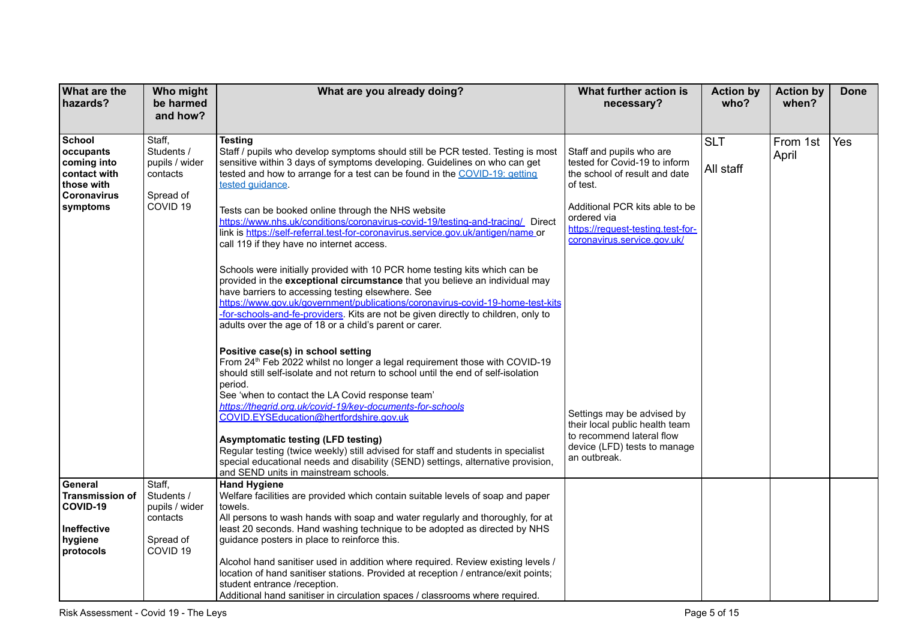| What are the<br>hazards?   | Who might<br>be harmed | What are you already doing?                                                                                                         | What further action is<br>necessary?                         | <b>Action by</b><br>who? | <b>Action by</b><br>when? | <b>Done</b> |
|----------------------------|------------------------|-------------------------------------------------------------------------------------------------------------------------------------|--------------------------------------------------------------|--------------------------|---------------------------|-------------|
|                            | and how?               |                                                                                                                                     |                                                              |                          |                           |             |
| <b>School</b>              | Staff,                 | Testing                                                                                                                             |                                                              |                          |                           | Yes         |
| occupants                  | Students /             | Staff / pupils who develop symptoms should still be PCR tested. Testing is most                                                     | Staff and pupils who are                                     | <b>SLT</b>               | From 1st<br>April         |             |
| coming into                | pupils / wider         | sensitive within 3 days of symptoms developing. Guidelines on who can get                                                           | tested for Covid-19 to inform                                | All staff                |                           |             |
| contact with<br>those with | contacts               | tested and how to arrange for a test can be found in the COVID-19: getting<br>tested quidance.                                      | the school of result and date<br>of test.                    |                          |                           |             |
| <b>Coronavirus</b>         | Spread of              |                                                                                                                                     |                                                              |                          |                           |             |
| symptoms                   | COVID <sub>19</sub>    | Tests can be booked online through the NHS website                                                                                  | Additional PCR kits able to be                               |                          |                           |             |
|                            |                        | https://www.nhs.uk/conditions/coronavirus-covid-19/testing-and-tracing/ Direct                                                      | ordered via<br>https://request-testing.test-for-             |                          |                           |             |
|                            |                        | link is https://self-referral.test-for-coronavirus.service.gov.uk/antigen/name_or<br>call 119 if they have no internet access.      | coronavirus.service.gov.uk/                                  |                          |                           |             |
|                            |                        |                                                                                                                                     |                                                              |                          |                           |             |
|                            |                        | Schools were initially provided with 10 PCR home testing kits which can be                                                          |                                                              |                          |                           |             |
|                            |                        | provided in the exceptional circumstance that you believe an individual may                                                         |                                                              |                          |                           |             |
|                            |                        | have barriers to accessing testing elsewhere. See<br>https://www.gov.uk/government/publications/coronavirus-covid-19-home-test-kits |                                                              |                          |                           |             |
|                            |                        | -for-schools-and-fe-providers. Kits are not be given directly to children, only to                                                  |                                                              |                          |                           |             |
|                            |                        | adults over the age of 18 or a child's parent or carer.                                                                             |                                                              |                          |                           |             |
|                            |                        | Positive case(s) in school setting                                                                                                  |                                                              |                          |                           |             |
|                            |                        | From 24 <sup>th</sup> Feb 2022 whilst no longer a legal requirement those with COVID-19                                             |                                                              |                          |                           |             |
|                            |                        | should still self-isolate and not return to school until the end of self-isolation                                                  |                                                              |                          |                           |             |
|                            |                        | period.<br>See 'when to contact the LA Covid response team'                                                                         |                                                              |                          |                           |             |
|                            |                        | https://thegrid.org.uk/covid-19/key-documents-for-schools                                                                           |                                                              |                          |                           |             |
|                            |                        | COVID.EYSEducation@hertfordshire.gov.uk                                                                                             | Settings may be advised by<br>their local public health team |                          |                           |             |
|                            |                        | <b>Asymptomatic testing (LFD testing)</b>                                                                                           | to recommend lateral flow                                    |                          |                           |             |
|                            |                        | Regular testing (twice weekly) still advised for staff and students in specialist                                                   | device (LFD) tests to manage                                 |                          |                           |             |
|                            |                        | special educational needs and disability (SEND) settings, alternative provision,                                                    | an outbreak.                                                 |                          |                           |             |
| General                    | Staff,                 | and SEND units in mainstream schools.<br><b>Hand Hygiene</b>                                                                        |                                                              |                          |                           |             |
| <b>Transmission of</b>     | Students /             | Welfare facilities are provided which contain suitable levels of soap and paper                                                     |                                                              |                          |                           |             |
| COVID-19                   | pupils / wider         | towels.<br>All persons to wash hands with soap and water regularly and thoroughly, for at                                           |                                                              |                          |                           |             |
| Ineffective                | contacts               | least 20 seconds. Hand washing technique to be adopted as directed by NHS                                                           |                                                              |                          |                           |             |
| hygiene                    | Spread of              | guidance posters in place to reinforce this.                                                                                        |                                                              |                          |                           |             |
| protocols                  | COVID <sub>19</sub>    | Alcohol hand sanitiser used in addition where required. Review existing levels /                                                    |                                                              |                          |                           |             |
|                            |                        | location of hand sanitiser stations. Provided at reception / entrance/exit points;                                                  |                                                              |                          |                           |             |
|                            |                        | student entrance /reception.                                                                                                        |                                                              |                          |                           |             |
|                            |                        | Additional hand sanitiser in circulation spaces / classrooms where required.                                                        |                                                              |                          |                           |             |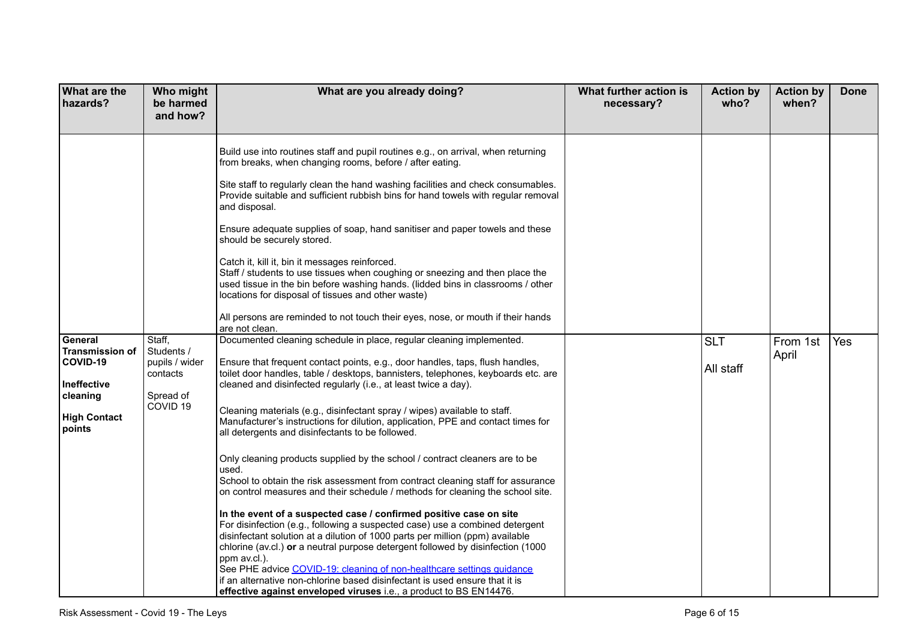| What are the<br>hazards?                                                                                  | Who might<br>be harmed<br>and how?                                                     | What are you already doing?                                                                                                                                                                                                                                                                                                                                                                                                                                                                                                                                                                                                                                                                                                                                                                                                                                                                                                                                                                                                                                                                                                                                                                                                                                                                                                                                             | What further action is<br>necessary? | <b>Action by</b><br>who? | <b>Action by</b><br>when? | <b>Done</b> |
|-----------------------------------------------------------------------------------------------------------|----------------------------------------------------------------------------------------|-------------------------------------------------------------------------------------------------------------------------------------------------------------------------------------------------------------------------------------------------------------------------------------------------------------------------------------------------------------------------------------------------------------------------------------------------------------------------------------------------------------------------------------------------------------------------------------------------------------------------------------------------------------------------------------------------------------------------------------------------------------------------------------------------------------------------------------------------------------------------------------------------------------------------------------------------------------------------------------------------------------------------------------------------------------------------------------------------------------------------------------------------------------------------------------------------------------------------------------------------------------------------------------------------------------------------------------------------------------------------|--------------------------------------|--------------------------|---------------------------|-------------|
|                                                                                                           |                                                                                        | Build use into routines staff and pupil routines e.g., on arrival, when returning<br>from breaks, when changing rooms, before / after eating.<br>Site staff to regularly clean the hand washing facilities and check consumables.<br>Provide suitable and sufficient rubbish bins for hand towels with regular removal<br>and disposal.<br>Ensure adequate supplies of soap, hand sanitiser and paper towels and these<br>should be securely stored.<br>Catch it, kill it, bin it messages reinforced.<br>Staff / students to use tissues when coughing or sneezing and then place the<br>used tissue in the bin before washing hands. (lidded bins in classrooms / other<br>locations for disposal of tissues and other waste)<br>All persons are reminded to not touch their eyes, nose, or mouth if their hands<br>are not clean.                                                                                                                                                                                                                                                                                                                                                                                                                                                                                                                                    |                                      |                          |                           |             |
| General<br><b>Transmission of</b><br>COVID-19<br>Ineffective<br>cleaning<br><b>High Contact</b><br>points | Staff,<br>Students /<br>pupils / wider<br>contacts<br>Spread of<br>COVID <sub>19</sub> | Documented cleaning schedule in place, regular cleaning implemented.<br>Ensure that frequent contact points, e.g., door handles, taps, flush handles,<br>toilet door handles, table / desktops, bannisters, telephones, keyboards etc. are<br>cleaned and disinfected regularly (i.e., at least twice a day).<br>Cleaning materials (e.g., disinfectant spray / wipes) available to staff.<br>Manufacturer's instructions for dilution, application, PPE and contact times for<br>all detergents and disinfectants to be followed.<br>Only cleaning products supplied by the school / contract cleaners are to be<br>used.<br>School to obtain the risk assessment from contract cleaning staff for assurance<br>on control measures and their schedule / methods for cleaning the school site.<br>In the event of a suspected case / confirmed positive case on site<br>For disinfection (e.g., following a suspected case) use a combined detergent<br>disinfectant solution at a dilution of 1000 parts per million (ppm) available<br>chlorine (av.cl.) or a neutral purpose detergent followed by disinfection (1000<br>ppm av.cl.).<br>See PHE advice COVID-19: cleaning of non-healthcare settings guidance<br>if an alternative non-chlorine based disinfectant is used ensure that it is<br>effective against enveloped viruses i.e., a product to BS EN14476. |                                      | <b>SLT</b><br>All staff  | From 1st<br>April         | Yes         |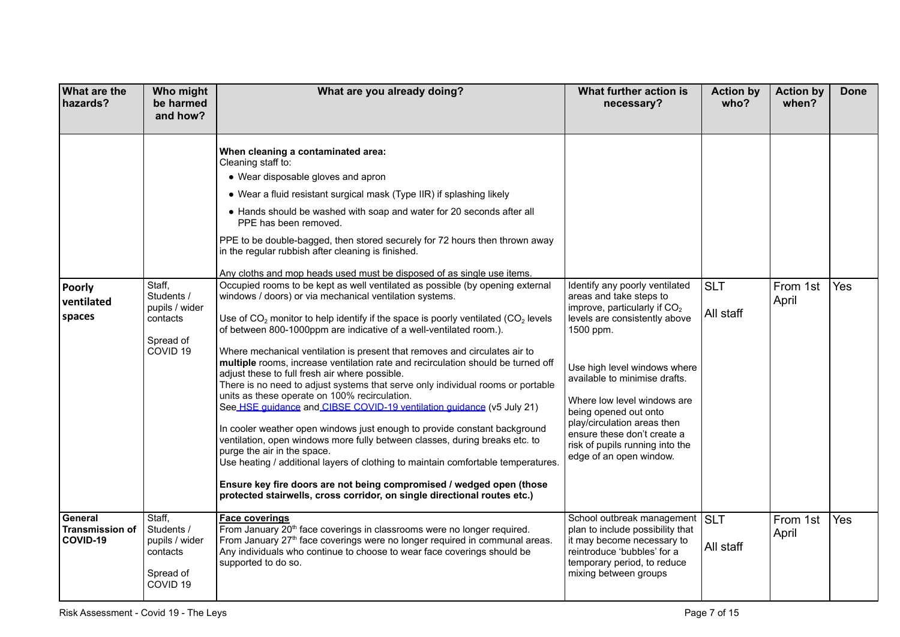| <b>What are the</b><br>hazards?               | Who might<br>be harmed<br>and how?                                                     | What are you already doing?                                                                                                                                                                                                                                                                                                                                                                                                                                                                                                                                                                                                                                                                                                                                                                                                                                                                                                                                                                                                                                                                                                                                                                                                                                                                                                                                                                                                                                                                                                                                                                                                                                                        | What further action is<br>necessary?                                                                                                                                                                                                                                                                                                                                                           | <b>Action by</b><br>who? | <b>Action by</b><br>when? | <b>Done</b> |
|-----------------------------------------------|----------------------------------------------------------------------------------------|------------------------------------------------------------------------------------------------------------------------------------------------------------------------------------------------------------------------------------------------------------------------------------------------------------------------------------------------------------------------------------------------------------------------------------------------------------------------------------------------------------------------------------------------------------------------------------------------------------------------------------------------------------------------------------------------------------------------------------------------------------------------------------------------------------------------------------------------------------------------------------------------------------------------------------------------------------------------------------------------------------------------------------------------------------------------------------------------------------------------------------------------------------------------------------------------------------------------------------------------------------------------------------------------------------------------------------------------------------------------------------------------------------------------------------------------------------------------------------------------------------------------------------------------------------------------------------------------------------------------------------------------------------------------------------|------------------------------------------------------------------------------------------------------------------------------------------------------------------------------------------------------------------------------------------------------------------------------------------------------------------------------------------------------------------------------------------------|--------------------------|---------------------------|-------------|
| <b>Poorly</b><br>ventilated<br>spaces         | Staff,<br>Students /<br>pupils / wider<br>contacts<br>Spread of<br>COVID <sub>19</sub> | When cleaning a contaminated area:<br>Cleaning staff to:<br>• Wear disposable gloves and apron<br>• Wear a fluid resistant surgical mask (Type IIR) if splashing likely<br>• Hands should be washed with soap and water for 20 seconds after all<br>PPE has been removed.<br>PPE to be double-bagged, then stored securely for 72 hours then thrown away<br>in the regular rubbish after cleaning is finished.<br>Any cloths and mop heads used must be disposed of as single use items.<br>Occupied rooms to be kept as well ventilated as possible (by opening external<br>windows / doors) or via mechanical ventilation systems.<br>Use of $CO2$ monitor to help identify if the space is poorly ventilated (CO <sub>2</sub> levels<br>of between 800-1000ppm are indicative of a well-ventilated room.).<br>Where mechanical ventilation is present that removes and circulates air to<br>multiple rooms, increase ventilation rate and recirculation should be turned off<br>adjust these to full fresh air where possible.<br>There is no need to adjust systems that serve only individual rooms or portable<br>units as these operate on 100% recirculation.<br>See HSE quidance and CIBSE COVID-19 ventilation quidance (v5 July 21)<br>In cooler weather open windows just enough to provide constant background<br>ventilation, open windows more fully between classes, during breaks etc. to<br>purge the air in the space.<br>Use heating / additional layers of clothing to maintain comfortable temperatures.<br>Ensure key fire doors are not being compromised / wedged open (those<br>protected stairwells, cross corridor, on single directional routes etc.) | Identify any poorly ventilated<br>areas and take steps to<br>improve, particularly if $CO2$<br>levels are consistently above<br>1500 ppm.<br>Use high level windows where<br>available to minimise drafts.<br>Where low level windows are<br>being opened out onto<br>play/circulation areas then<br>ensure these don't create a<br>risk of pupils running into the<br>edge of an open window. | <b>SLT</b><br>All staff  | From 1st<br>April         | Yes         |
| General<br><b>Transmission of</b><br>COVID-19 | Staff,<br>Students /<br>pupils / wider<br>contacts<br>Spread of<br>COVID <sub>19</sub> | Face coverings<br>From January 20 <sup>th</sup> face coverings in classrooms were no longer required.<br>From January 27 <sup>th</sup> face coverings were no longer required in communal areas.<br>Any individuals who continue to choose to wear face coverings should be<br>supported to do so.                                                                                                                                                                                                                                                                                                                                                                                                                                                                                                                                                                                                                                                                                                                                                                                                                                                                                                                                                                                                                                                                                                                                                                                                                                                                                                                                                                                 | School outbreak management<br>plan to include possibility that<br>it may become necessary to<br>reintroduce 'bubbles' for a<br>temporary period, to reduce<br>mixing between groups                                                                                                                                                                                                            | <b>ISLT</b><br>All staff | From 1st<br>April         | Yes         |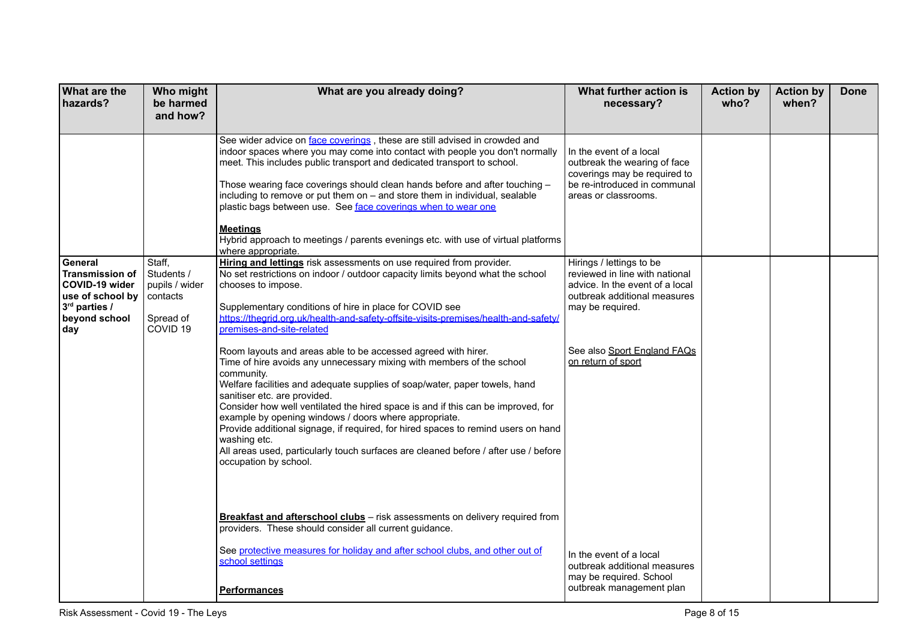| <b>What are the</b><br>hazards?                                                                                  | Who might<br>be harmed                                                                 | What are you already doing?                                                                                                                                                                                                                                                                                                                                                                                                                                                                                                                                                                                                                                                                                          | What further action is<br>necessary?                                                                                                              | <b>Action by</b><br>who? | <b>Action by</b><br>when? | <b>Done</b> |
|------------------------------------------------------------------------------------------------------------------|----------------------------------------------------------------------------------------|----------------------------------------------------------------------------------------------------------------------------------------------------------------------------------------------------------------------------------------------------------------------------------------------------------------------------------------------------------------------------------------------------------------------------------------------------------------------------------------------------------------------------------------------------------------------------------------------------------------------------------------------------------------------------------------------------------------------|---------------------------------------------------------------------------------------------------------------------------------------------------|--------------------------|---------------------------|-------------|
|                                                                                                                  | and how?                                                                               |                                                                                                                                                                                                                                                                                                                                                                                                                                                                                                                                                                                                                                                                                                                      |                                                                                                                                                   |                          |                           |             |
|                                                                                                                  |                                                                                        | See wider advice on face coverings, these are still advised in crowded and<br>indoor spaces where you may come into contact with people you don't normally<br>meet. This includes public transport and dedicated transport to school.<br>Those wearing face coverings should clean hands before and after touching -<br>including to remove or put them on - and store them in individual, sealable<br>plastic bags between use. See face coverings when to wear one<br>Meetings<br>Hybrid approach to meetings / parents evenings etc. with use of virtual platforms<br>where appropriate.                                                                                                                          | In the event of a local<br>outbreak the wearing of face<br>coverings may be required to<br>be re-introduced in communal<br>areas or classrooms.   |                          |                           |             |
| General<br><b>Transmission of</b><br>COVID-19 wider<br>use of school by<br>3rd parties /<br>beyond school<br>day | Staff,<br>Students /<br>pupils / wider<br>contacts<br>Spread of<br>COVID <sub>19</sub> | Hiring and lettings risk assessments on use required from provider.<br>No set restrictions on indoor / outdoor capacity limits beyond what the school<br>chooses to impose.<br>Supplementary conditions of hire in place for COVID see<br>https://thegrid.org.uk/health-and-safety-offsite-visits-premises/health-and-safety/<br>premises-and-site-related                                                                                                                                                                                                                                                                                                                                                           | Hirings / lettings to be<br>reviewed in line with national<br>advice. In the event of a local<br>outbreak additional measures<br>may be required. |                          |                           |             |
|                                                                                                                  |                                                                                        | Room layouts and areas able to be accessed agreed with hirer.<br>Time of hire avoids any unnecessary mixing with members of the school<br>community.<br>Welfare facilities and adequate supplies of soap/water, paper towels, hand<br>sanitiser etc. are provided.<br>Consider how well ventilated the hired space is and if this can be improved, for<br>example by opening windows / doors where appropriate.<br>Provide additional signage, if required, for hired spaces to remind users on hand<br>washing etc.<br>All areas used, particularly touch surfaces are cleaned before / after use / before<br>occupation by school.<br>Breakfast and afterschool clubs - risk assessments on delivery required from | See also Sport England FAQs<br>on return of sport                                                                                                 |                          |                           |             |
|                                                                                                                  |                                                                                        | providers. These should consider all current guidance.<br>See protective measures for holiday and after school clubs, and other out of<br>school settings<br>Performances                                                                                                                                                                                                                                                                                                                                                                                                                                                                                                                                            | In the event of a local<br>outbreak additional measures<br>may be required. School<br>outbreak management plan                                    |                          |                           |             |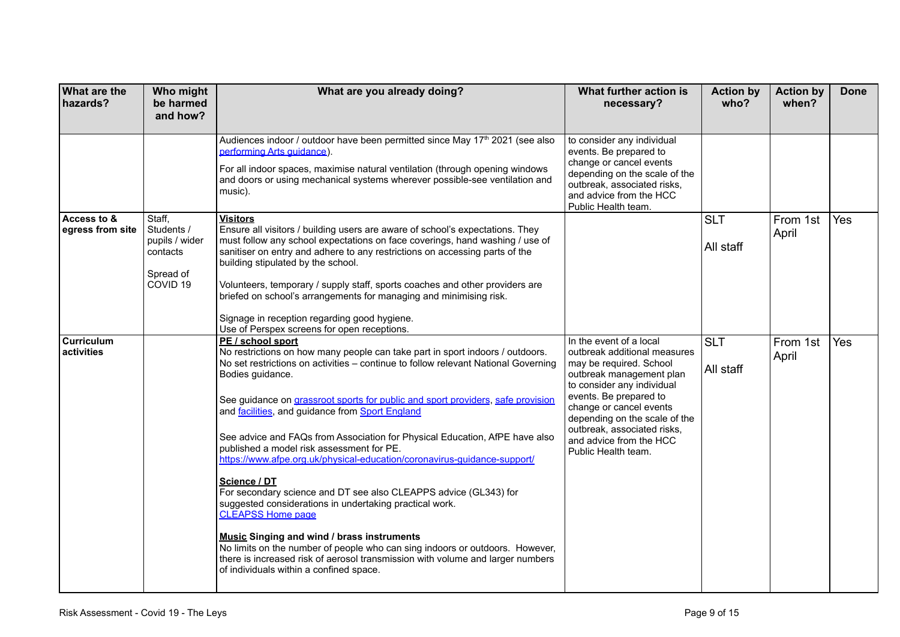| <b>What are the</b><br>hazards? | Who might<br>be harmed<br>and how?                                                     | What are you already doing?                                                                                                                                                                                                                                                                                                                                                                                                                                                                                                                                                                                                                                                                                                                                                                                                                                                                                                                                                                             | What further action is<br>necessary?                                                                                                                                                                                                                                                                                | <b>Action by</b><br>who? | <b>Action by</b><br>when? | <b>Done</b> |
|---------------------------------|----------------------------------------------------------------------------------------|---------------------------------------------------------------------------------------------------------------------------------------------------------------------------------------------------------------------------------------------------------------------------------------------------------------------------------------------------------------------------------------------------------------------------------------------------------------------------------------------------------------------------------------------------------------------------------------------------------------------------------------------------------------------------------------------------------------------------------------------------------------------------------------------------------------------------------------------------------------------------------------------------------------------------------------------------------------------------------------------------------|---------------------------------------------------------------------------------------------------------------------------------------------------------------------------------------------------------------------------------------------------------------------------------------------------------------------|--------------------------|---------------------------|-------------|
|                                 |                                                                                        | Audiences indoor / outdoor have been permitted since May 17 <sup>th</sup> 2021 (see also<br>performing Arts quidance).<br>For all indoor spaces, maximise natural ventilation (through opening windows<br>and doors or using mechanical systems wherever possible-see ventilation and<br>music).                                                                                                                                                                                                                                                                                                                                                                                                                                                                                                                                                                                                                                                                                                        | to consider any individual<br>events. Be prepared to<br>change or cancel events<br>depending on the scale of the<br>outbreak, associated risks,<br>and advice from the HCC<br>Public Health team.                                                                                                                   |                          |                           |             |
| Access to &<br>egress from site | Staff,<br>Students /<br>pupils / wider<br>contacts<br>Spread of<br>COVID <sub>19</sub> | <b>Visitors</b><br>Ensure all visitors / building users are aware of school's expectations. They<br>must follow any school expectations on face coverings, hand washing / use of<br>sanitiser on entry and adhere to any restrictions on accessing parts of the<br>building stipulated by the school.<br>Volunteers, temporary / supply staff, sports coaches and other providers are<br>briefed on school's arrangements for managing and minimising risk.<br>Signage in reception regarding good hygiene.<br>Use of Perspex screens for open receptions.                                                                                                                                                                                                                                                                                                                                                                                                                                              |                                                                                                                                                                                                                                                                                                                     | <b>SLT</b><br>All staff  | From 1st<br>April         | <b>Yes</b>  |
| Curriculum<br>activities        |                                                                                        | PE / school sport<br>No restrictions on how many people can take part in sport indoors / outdoors.<br>No set restrictions on activities - continue to follow relevant National Governing<br>Bodies guidance.<br>See guidance on grassroot sports for public and sport providers, safe provision<br>and facilities, and guidance from Sport England<br>See advice and FAQs from Association for Physical Education, AfPE have also<br>published a model risk assessment for PE.<br>https://www.afpe.org.uk/physical-education/coronavirus-guidance-support/<br>Science / DT<br>For secondary science and DT see also CLEAPPS advice (GL343) for<br>suggested considerations in undertaking practical work.<br><b>CLEAPSS Home page</b><br><b>Music Singing and wind / brass instruments</b><br>No limits on the number of people who can sing indoors or outdoors. However,<br>there is increased risk of aerosol transmission with volume and larger numbers<br>of individuals within a confined space. | In the event of a local<br>outbreak additional measures<br>may be required. School<br>outbreak management plan<br>to consider any individual<br>events. Be prepared to<br>change or cancel events<br>depending on the scale of the<br>outbreak, associated risks,<br>and advice from the HCC<br>Public Health team. | <b>SLT</b><br>All staff  | From 1st<br>April         | <b>Yes</b>  |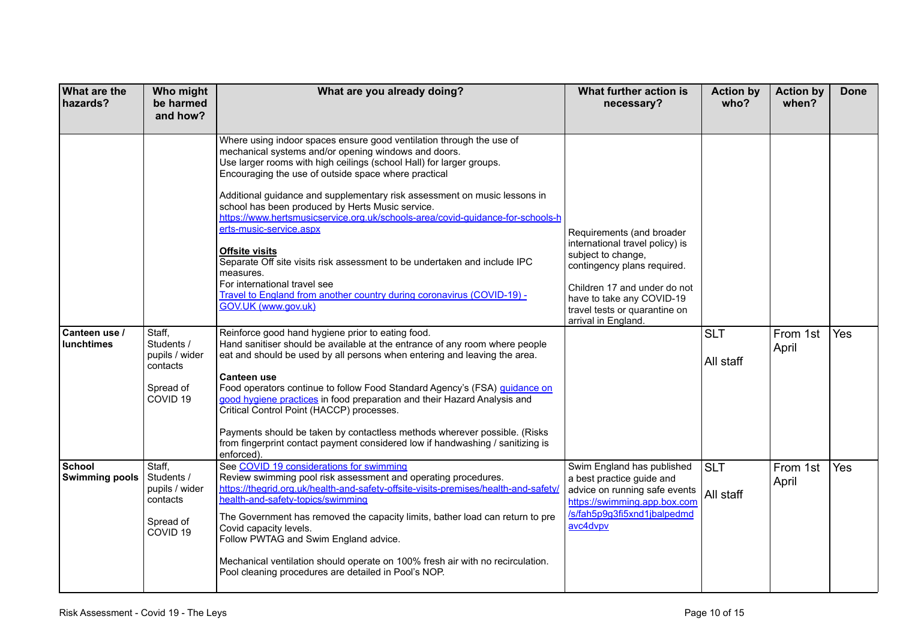| <b>What are the</b><br>hazards?    | Who might<br>be harmed<br>and how?                                                     | What are you already doing?                                                                                                                                                                                                                                                                                                                                                                                                                                                                                                                                                                                                                                                                                                                                                                                                                                                                                                                                                                                                                                                                                                                                                                                                                                                                                                                                                               | What further action is<br>necessary?                                                                                                                                                                                                   | <b>Action by</b><br>who? | <b>Action by</b><br>when? | <b>Done</b> |
|------------------------------------|----------------------------------------------------------------------------------------|-------------------------------------------------------------------------------------------------------------------------------------------------------------------------------------------------------------------------------------------------------------------------------------------------------------------------------------------------------------------------------------------------------------------------------------------------------------------------------------------------------------------------------------------------------------------------------------------------------------------------------------------------------------------------------------------------------------------------------------------------------------------------------------------------------------------------------------------------------------------------------------------------------------------------------------------------------------------------------------------------------------------------------------------------------------------------------------------------------------------------------------------------------------------------------------------------------------------------------------------------------------------------------------------------------------------------------------------------------------------------------------------|----------------------------------------------------------------------------------------------------------------------------------------------------------------------------------------------------------------------------------------|--------------------------|---------------------------|-------------|
| Canteen use /<br><b>lunchtimes</b> | Staff,<br>Students /<br>pupils / wider<br>contacts<br>Spread of<br>COVID <sub>19</sub> | Where using indoor spaces ensure good ventilation through the use of<br>mechanical systems and/or opening windows and doors.<br>Use larger rooms with high ceilings (school Hall) for larger groups.<br>Encouraging the use of outside space where practical<br>Additional guidance and supplementary risk assessment on music lessons in<br>school has been produced by Herts Music service.<br>https://www.hertsmusicservice.org.uk/schools-area/covid-quidance-for-schools-h<br>erts-music-service.aspx<br><b>Offsite visits</b><br>Separate Off site visits risk assessment to be undertaken and include IPC<br>measures.<br>For international travel see<br>Travel to England from another country during coronavirus (COVID-19) -<br>GOV.UK (www.gov.uk)<br>Reinforce good hand hygiene prior to eating food.<br>Hand sanitiser should be available at the entrance of any room where people<br>eat and should be used by all persons when entering and leaving the area.<br><b>Canteen use</b><br>Food operators continue to follow Food Standard Agency's (FSA) quidance on<br>good hygiene practices in food preparation and their Hazard Analysis and<br>Critical Control Point (HACCP) processes.<br>Payments should be taken by contactless methods wherever possible. (Risks<br>from fingerprint contact payment considered low if handwashing / sanitizing is<br>enforced). | Requirements (and broader<br>international travel policy) is<br>subject to change,<br>contingency plans required.<br>Children 17 and under do not<br>have to take any COVID-19<br>travel tests or quarantine on<br>arrival in England. | <b>SLT</b><br>All staff  | From 1st<br>April         | Yes         |
| School<br><b>Swimming pools</b>    | Staff,<br>Students /<br>pupils / wider<br>contacts<br>Spread of<br>COVID <sub>19</sub> | See COVID 19 considerations for swimming<br>Review swimming pool risk assessment and operating procedures.<br>https://thegrid.org.uk/health-and-safety-offsite-visits-premises/health-and-safety/<br>health-and-safety-topics/swimming<br>The Government has removed the capacity limits, bather load can return to pre<br>Covid capacity levels.<br>Follow PWTAG and Swim England advice.<br>Mechanical ventilation should operate on 100% fresh air with no recirculation.<br>Pool cleaning procedures are detailed in Pool's NOP.                                                                                                                                                                                                                                                                                                                                                                                                                                                                                                                                                                                                                                                                                                                                                                                                                                                      | Swim England has published<br>a best practice guide and<br>advice on running safe events<br>https://swimming.app.box.com<br>/s/fah5p9g3fi5xnd1jbalpedmd<br>avc4dvpv                                                                    | <b>SLT</b><br>All staff  | From 1st<br>April         | Yes         |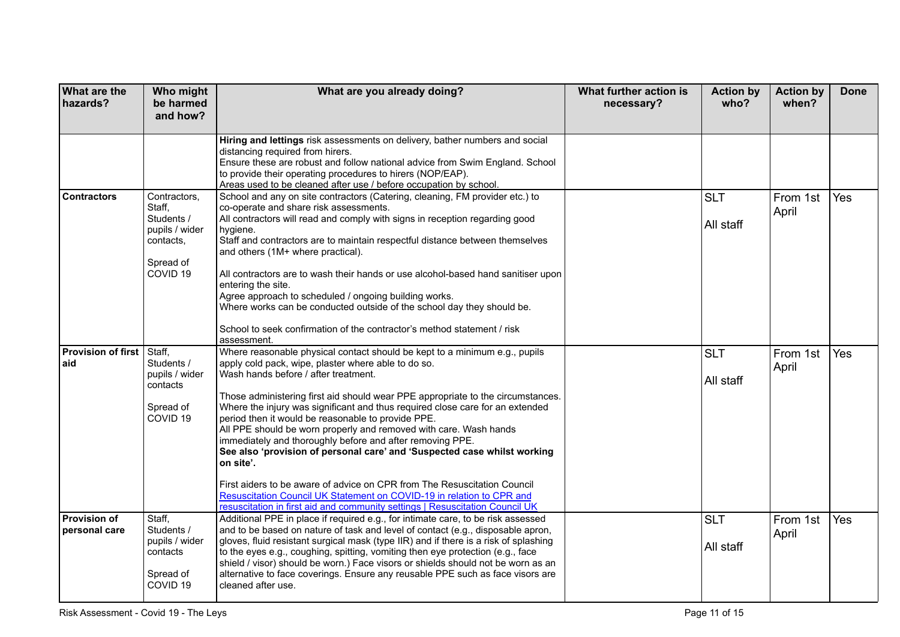| What are the<br>hazards?                  | Who might<br>be harmed<br>and how?                                                                      | What are you already doing?                                                                                                                                                                                                                                                                                                                                                                                                                                                                                                                                                                                                                                                                                                                                                                                                                                         | What further action is<br>necessary? | <b>Action by</b><br>who? | <b>Action by</b><br>when? | <b>Done</b> |
|-------------------------------------------|---------------------------------------------------------------------------------------------------------|---------------------------------------------------------------------------------------------------------------------------------------------------------------------------------------------------------------------------------------------------------------------------------------------------------------------------------------------------------------------------------------------------------------------------------------------------------------------------------------------------------------------------------------------------------------------------------------------------------------------------------------------------------------------------------------------------------------------------------------------------------------------------------------------------------------------------------------------------------------------|--------------------------------------|--------------------------|---------------------------|-------------|
|                                           |                                                                                                         | Hiring and lettings risk assessments on delivery, bather numbers and social<br>distancing required from hirers.<br>Ensure these are robust and follow national advice from Swim England. School<br>to provide their operating procedures to hirers (NOP/EAP).<br>Areas used to be cleaned after use / before occupation by school.                                                                                                                                                                                                                                                                                                                                                                                                                                                                                                                                  |                                      |                          |                           |             |
| <b>Contractors</b>                        | Contractors,<br>Staff,<br>Students /<br>pupils / wider<br>contacts,<br>Spread of<br>COVID <sub>19</sub> | School and any on site contractors (Catering, cleaning, FM provider etc.) to<br>co-operate and share risk assessments.<br>All contractors will read and comply with signs in reception regarding good<br>hygiene.<br>Staff and contractors are to maintain respectful distance between themselves<br>and others (1M+ where practical).<br>All contractors are to wash their hands or use alcohol-based hand sanitiser upon<br>entering the site.<br>Agree approach to scheduled / ongoing building works.<br>Where works can be conducted outside of the school day they should be.<br>School to seek confirmation of the contractor's method statement / risk<br>assessment.                                                                                                                                                                                       |                                      | <b>SLT</b><br>All staff  | From 1st<br>April         | Yes         |
| <b>Provision of first   Staff,</b><br>aid | Students /<br>pupils / wider<br>contacts<br>Spread of<br>COVID <sub>19</sub>                            | Where reasonable physical contact should be kept to a minimum e.g., pupils<br>apply cold pack, wipe, plaster where able to do so.<br>Wash hands before / after treatment.<br>Those administering first aid should wear PPE appropriate to the circumstances.<br>Where the injury was significant and thus required close care for an extended<br>period then it would be reasonable to provide PPE.<br>All PPE should be worn properly and removed with care. Wash hands<br>immediately and thoroughly before and after removing PPE.<br>See also 'provision of personal care' and 'Suspected case whilst working<br>on site'.<br>First aiders to be aware of advice on CPR from The Resuscitation Council<br>Resuscitation Council UK Statement on COVID-19 in relation to CPR and<br>resuscitation in first aid and community settings   Resuscitation Council UK |                                      | <b>SLT</b><br>All staff  | From 1st<br>April         | Yes         |
| <b>Provision of</b><br>personal care      | Staff,<br>Students /<br>pupils / wider<br>contacts<br>Spread of<br>COVID <sub>19</sub>                  | Additional PPE in place if required e.g., for intimate care, to be risk assessed<br>and to be based on nature of task and level of contact (e.g., disposable apron,<br>gloves, fluid resistant surgical mask (type IIR) and if there is a risk of splashing<br>to the eyes e.g., coughing, spitting, vomiting then eye protection (e.g., face<br>shield / visor) should be worn.) Face visors or shields should not be worn as an<br>alternative to face coverings. Ensure any reusable PPE such as face visors are<br>cleaned after use.                                                                                                                                                                                                                                                                                                                           |                                      | <b>SLT</b><br>All staff  | From 1st<br>April         | Yes         |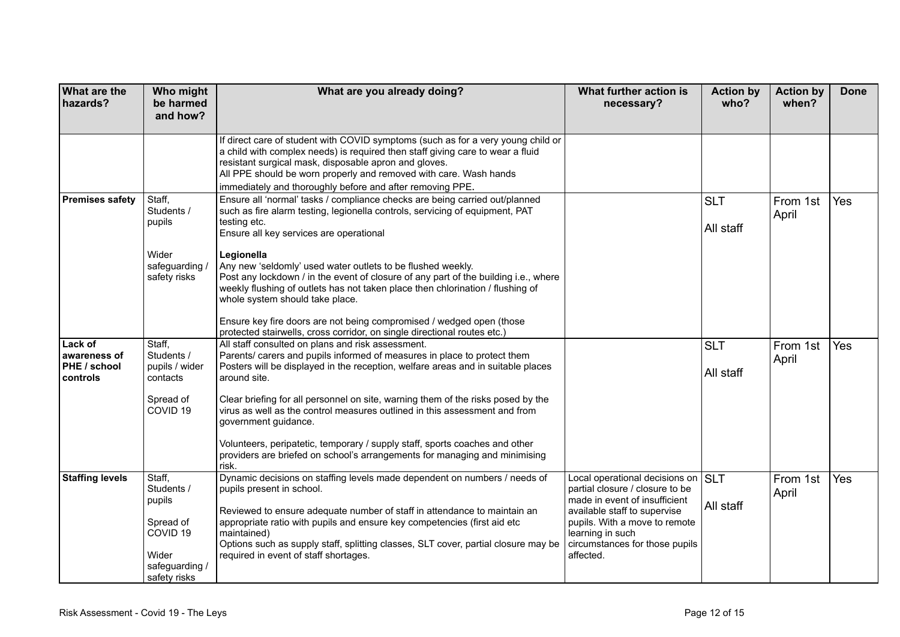| <b>What are the</b><br>hazards?                            | Who might<br>be harmed<br>and how?                                                                            | What are you already doing?                                                                                                                                                                                                                                                                                                                                                                                                                                                                                                                                                                       | What further action is<br>necessary?                                                                                                                                                                                                       | <b>Action by</b><br>who? | <b>Action by</b><br>when? | <b>Done</b> |
|------------------------------------------------------------|---------------------------------------------------------------------------------------------------------------|---------------------------------------------------------------------------------------------------------------------------------------------------------------------------------------------------------------------------------------------------------------------------------------------------------------------------------------------------------------------------------------------------------------------------------------------------------------------------------------------------------------------------------------------------------------------------------------------------|--------------------------------------------------------------------------------------------------------------------------------------------------------------------------------------------------------------------------------------------|--------------------------|---------------------------|-------------|
|                                                            |                                                                                                               | If direct care of student with COVID symptoms (such as for a very young child or<br>a child with complex needs) is required then staff giving care to wear a fluid<br>resistant surgical mask, disposable apron and gloves.<br>All PPE should be worn properly and removed with care. Wash hands<br>immediately and thoroughly before and after removing PPE.                                                                                                                                                                                                                                     |                                                                                                                                                                                                                                            |                          |                           |             |
| <b>Premises safety</b>                                     | Staff,<br>Students /<br>pupils<br>Wider<br>safeguarding /<br>safety risks                                     | Ensure all 'normal' tasks / compliance checks are being carried out/planned<br>such as fire alarm testing, legionella controls, servicing of equipment, PAT<br>testing etc.<br>Ensure all key services are operational<br>Legionella<br>Any new 'seldomly' used water outlets to be flushed weekly.<br>Post any lockdown / in the event of closure of any part of the building i.e., where<br>weekly flushing of outlets has not taken place then chlorination / flushing of<br>whole system should take place.                                                                                   |                                                                                                                                                                                                                                            | <b>SLT</b><br>All staff  | From 1st<br>April         | Yes         |
|                                                            |                                                                                                               | Ensure key fire doors are not being compromised / wedged open (those<br>protected stairwells, cross corridor, on single directional routes etc.)                                                                                                                                                                                                                                                                                                                                                                                                                                                  |                                                                                                                                                                                                                                            |                          |                           |             |
| <b>Lack of</b><br>awareness of<br>PHE / school<br>controls | Staff,<br>Students /<br>pupils / wider<br>contacts<br>Spread of<br>COVID <sub>19</sub>                        | All staff consulted on plans and risk assessment.<br>Parents/ carers and pupils informed of measures in place to protect them<br>Posters will be displayed in the reception, welfare areas and in suitable places<br>around site.<br>Clear briefing for all personnel on site, warning them of the risks posed by the<br>virus as well as the control measures outlined in this assessment and from<br>government guidance.<br>Volunteers, peripatetic, temporary / supply staff, sports coaches and other<br>providers are briefed on school's arrangements for managing and minimising<br>risk. |                                                                                                                                                                                                                                            | <b>SLT</b><br>All staff  | From 1st<br>April         | Yes         |
| <b>Staffing levels</b>                                     | Staff,<br>Students /<br>pupils<br>Spread of<br>COVID <sub>19</sub><br>Wider<br>safeguarding /<br>safety risks | Dynamic decisions on staffing levels made dependent on numbers / needs of<br>pupils present in school.<br>Reviewed to ensure adequate number of staff in attendance to maintain an<br>appropriate ratio with pupils and ensure key competencies (first aid etc<br>maintained)<br>Options such as supply staff, splitting classes, SLT cover, partial closure may be<br>required in event of staff shortages.                                                                                                                                                                                      | Local operational decisions on SLT<br>partial closure / closure to be<br>made in event of insufficient<br>available staff to supervise<br>pupils. With a move to remote<br>learning in such<br>circumstances for those pupils<br>affected. | All staff                | From 1st<br>April         | Yes         |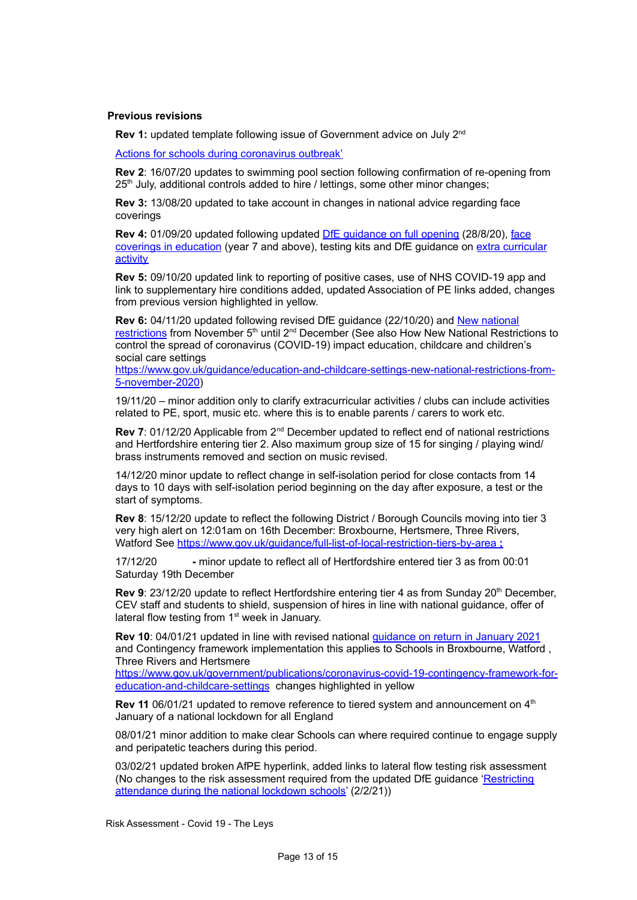### **Previous revisions**

Rev 1: updated template following issue of Government advice on July 2<sup>nd</sup>

Actions for schools during [coronavirus](https://www.gov.uk/government/publications/actions-for-schools-during-the-coronavirus-outbreak) outbreak'

**Rev 2**: 16/07/20 updates to swimming pool section following confirmation of re-opening from 25<sup>th</sup> July, additional controls added to hire / lettings, some other minor changes;

**Rev 3:** 13/08/20 updated to take account in changes in national advice regarding face coverings

**Rev 4:** 01/09/20 updated following updated DfE [guidance](https://www.gov.uk/government/publications/actions-for-schools-during-the-coronavirus-outbreak/guidance-for-full-opening-schools) on full opening (28/8/20), [face](https://www.gov.uk/government/publications/face-coverings-in-education) coverings in [education](https://www.gov.uk/government/publications/face-coverings-in-education) (year 7 and above), testing kits and DfE guidance on extra [curricular](https://www.gov.uk/government/publications/protective-measures-for-holiday-or-after-school-clubs-and-other-out-of-school-settings-for-children-during-the-coronavirus-covid-19-outbreak/protective-measures-for-out-of-school-settings-during-the-coronavirus-covid-19-outbreak) **[activity](https://www.gov.uk/government/publications/protective-measures-for-holiday-or-after-school-clubs-and-other-out-of-school-settings-for-children-during-the-coronavirus-covid-19-outbreak/protective-measures-for-out-of-school-settings-during-the-coronavirus-covid-19-outbreak)** 

**Rev 5:** 09/10/20 updated link to reporting of positive cases, use of NHS COVID-19 app and link to supplementary hire conditions added, updated Association of PE links added, changes from previous version highlighted in yellow.

**Rev 6:** 04/11/20 updated following revised DfE guidance (22/10/20) and New [national](https://www.gov.uk/guidance/new-national-restrictions-from-5-november) [restrictions](https://www.gov.uk/guidance/new-national-restrictions-from-5-november) from November 5<sup>th</sup> until 2<sup>nd</sup> December (See also How New National Restrictions to control the spread of coronavirus (COVID-19) impact education, childcare and children's social care settings

[https://www.gov.uk/guidance/education-and-childcare-settings-new-national-restrictions-from-](https://www.gov.uk/guidance/education-and-childcare-settings-new-national-restrictions-from-5-november-2020)[5-november-2020\)](https://www.gov.uk/guidance/education-and-childcare-settings-new-national-restrictions-from-5-november-2020)

19/11/20 – minor addition only to clarify extracurricular activities / clubs can include activities related to PE, sport, music etc. where this is to enable parents / carers to work etc.

Rev 7: 01/12/20 Applicable from 2<sup>nd</sup> December updated to reflect end of national restrictions and Hertfordshire entering tier 2. Also maximum group size of 15 for singing / playing wind/ brass instruments removed and section on music revised.

14/12/20 minor update to reflect change in self-isolation period for close contacts from 14 days to 10 days with self-isolation period beginning on the day after exposure, a test or the start of symptoms.

**Rev 8**: 15/12/20 update to reflect the following District / Borough Councils moving into tier 3 very high alert on 12:01am on 16th December: Broxbourne, Hertsmere, Three Rivers, Watford See <https://www.gov.uk/guidance/full-list-of-local-restriction-tiers-by-area> **;**

17/12/20 **-** minor update to reflect all of Hertfordshire entered tier 3 as from 00:01 Saturday 19th December

Rev 9: 23/12/20 update to reflect Hertfordshire entering tier 4 as from Sunday 20<sup>th</sup> December, CEV staff and students to shield, suspension of hires in line with national guidance, offer of lateral flow testing from 1<sup>st</sup> week in January.

**Rev 10**: 04/01/21 updated in line with revised national [guidance](https://www.gov.uk/government/publications/schools-and-childcare-settings-return-in-january-2021/schools-and-childcare-settings-return-in-january-2021) on return in January 2021 and Contingency framework implementation this applies to Schools in Broxbourne, Watford , Three Rivers and Hertsmere

[https://www.gov.uk/government/publications/coronavirus-covid-19-contingency-framework-for](https://www.gov.uk/government/publications/coronavirus-covid-19-contingency-framework-for-education-and-childcare-settings)[education-and-childcare-settings](https://www.gov.uk/government/publications/coronavirus-covid-19-contingency-framework-for-education-and-childcare-settings) changes highlighted in yellow

Rev 11 06/01/21 updated to remove reference to tiered system and announcement on 4<sup>th</sup> January of a national lockdown for all England

08/01/21 minor addition to make clear Schools can where required continue to engage supply and peripatetic teachers during this period.

03/02/21 updated broken AfPE hyperlink, added links to lateral flow testing risk assessment (No changes to the risk assessment required from the updated DfE guidance ['Restricting](https://assets.publishing.service.gov.uk/government/uploads/system/uploads/attachment_data/file/957766/Restricting_attendance_during_the_national_lockdown-_schools.pdf) [attendance](https://assets.publishing.service.gov.uk/government/uploads/system/uploads/attachment_data/file/957766/Restricting_attendance_during_the_national_lockdown-_schools.pdf) during the national lockdown schools' (2/2/21))

Risk Assessment - Covid 19 - The Leys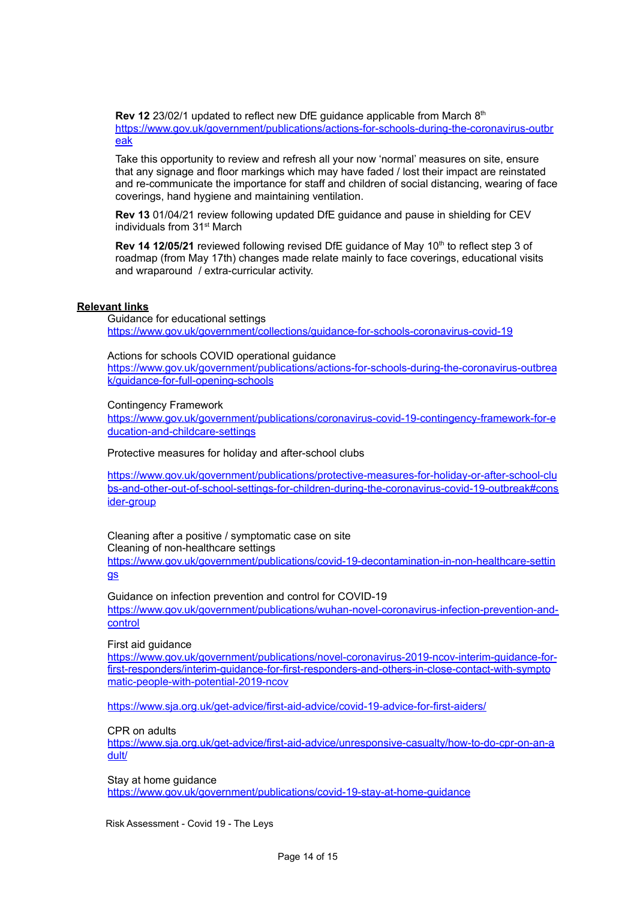Rev 12 23/02/1 updated to reflect new DfE guidance applicable from March 8<sup>th</sup> [https://www.gov.uk/government/publications/actions-for-schools-during-the-coronavirus-outbr](https://www.gov.uk/government/publications/actions-for-schools-during-the-coronavirus-outbreak) [eak](https://www.gov.uk/government/publications/actions-for-schools-during-the-coronavirus-outbreak)

Take this opportunity to review and refresh all your now 'normal' measures on site, ensure that any signage and floor markings which may have faded / lost their impact are reinstated and re-communicate the importance for staff and children of social distancing, wearing of face coverings, hand hygiene and maintaining ventilation.

**Rev 13** 01/04/21 review following updated DfE guidance and pause in shielding for CEV individuals from 31<sup>st</sup> March

Rev 14 12/05/21 reviewed following revised DfE guidance of May 10<sup>th</sup> to reflect step 3 of roadmap (from May 17th) changes made relate mainly to face coverings, educational visits and wraparound / extra-curricular activity.

## **Relevant links**

Guidance for educational settings <https://www.gov.uk/government/collections/guidance-for-schools-coronavirus-covid-19>

Actions for schools COVID operational guidance

[https://www.gov.uk/government/publications/actions-for-schools-during-the-coronavirus-outbrea](https://www.gov.uk/government/publications/actions-for-schools-during-the-coronavirus-outbreak/guidance-for-full-opening-schools) [k/guidance-for-full-opening-schools](https://www.gov.uk/government/publications/actions-for-schools-during-the-coronavirus-outbreak/guidance-for-full-opening-schools)

### Contingency Framework

[https://www.gov.uk/government/publications/coronavirus-covid-19-contingency-framework-for-e](https://www.gov.uk/government/publications/coronavirus-covid-19-contingency-framework-for-education-and-childcare-settings) [ducation-and-childcare-settings](https://www.gov.uk/government/publications/coronavirus-covid-19-contingency-framework-for-education-and-childcare-settings)

Protective measures for holiday and after-school clubs

[https://www.gov.uk/government/publications/protective-measures-for-holiday-or-after-school-clu](https://www.gov.uk/government/publications/protective-measures-for-holiday-or-after-school-clubs-and-other-out-of-school-settings-for-children-during-the-coronavirus-covid-19-outbreak#consider-group) [bs-and-other-out-of-school-settings-for-children-during-the-coronavirus-covid-19-outbreak#cons](https://www.gov.uk/government/publications/protective-measures-for-holiday-or-after-school-clubs-and-other-out-of-school-settings-for-children-during-the-coronavirus-covid-19-outbreak#consider-group) [ider-group](https://www.gov.uk/government/publications/protective-measures-for-holiday-or-after-school-clubs-and-other-out-of-school-settings-for-children-during-the-coronavirus-covid-19-outbreak#consider-group)

Cleaning after a positive / symptomatic case on site

Cleaning of non-healthcare settings

[https://www.gov.uk/government/publications/covid-19-decontamination-in-non-healthcare-settin](https://www.gov.uk/government/publications/covid-19-decontamination-in-non-healthcare-settings) [gs](https://www.gov.uk/government/publications/covid-19-decontamination-in-non-healthcare-settings)

Guidance on infection prevention and control for COVID-19 [https://www.gov.uk/government/publications/wuhan-novel-coronavirus-infection-prevention-and](https://www.gov.uk/government/publications/wuhan-novel-coronavirus-infection-prevention-and-control)[control](https://www.gov.uk/government/publications/wuhan-novel-coronavirus-infection-prevention-and-control)

First aid guidance

[https://www.gov.uk/government/publications/novel-coronavirus-2019-ncov-interim-guidance-for](https://www.gov.uk/government/publications/novel-coronavirus-2019-ncov-interim-guidance-for-first-responders/interim-guidance-for-first-responders-and-others-in-close-contact-with-symptomatic-people-with-potential-2019-ncov)[first-responders/interim-guidance-for-first-responders-and-others-in-close-contact-with-sympto](https://www.gov.uk/government/publications/novel-coronavirus-2019-ncov-interim-guidance-for-first-responders/interim-guidance-for-first-responders-and-others-in-close-contact-with-symptomatic-people-with-potential-2019-ncov) [matic-people-with-potential-2019-ncov](https://www.gov.uk/government/publications/novel-coronavirus-2019-ncov-interim-guidance-for-first-responders/interim-guidance-for-first-responders-and-others-in-close-contact-with-symptomatic-people-with-potential-2019-ncov)

<https://www.sja.org.uk/get-advice/first-aid-advice/covid-19-advice-for-first-aiders/>

CPR on adults

https://www.sja.org.uk/get-advice/first-aid-advice/unresponsive-casualty/how-to-do-cpr-on-an-a dult/

Stay at home guidance <https://www.gov.uk/government/publications/covid-19-stay-at-home-guidance>

Risk Assessment - Covid 19 - The Leys